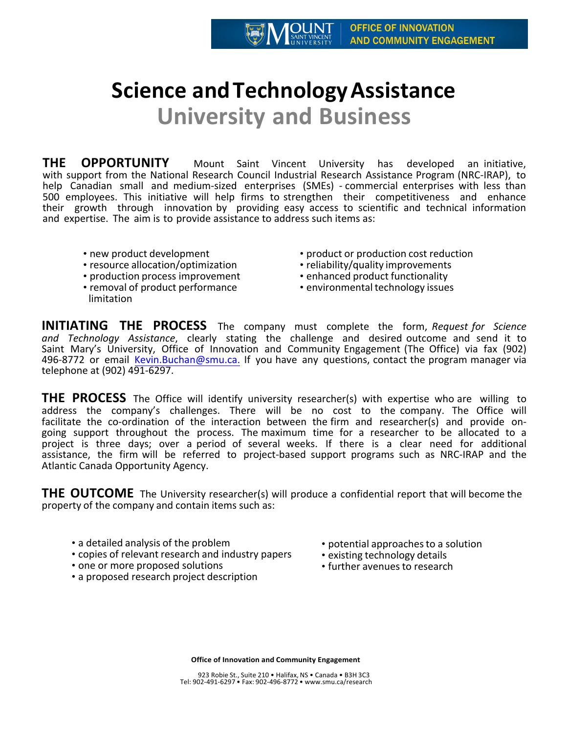## **Science and Technology Assistance University and Business**

**THE OPPORTUNITY** Mount Saint Vincent University has developed an initiative, with support from the National Research Council Industrial Research Assistance Program (NRC-IRAP), to help Canadian small and medium-sized enterprises (SMEs) - commercial enterprises with less than 500 employees. This initiative will help firms to strengthen their competitiveness and enhance their growth through innovation by providing easy access to scientific and technical information and expertise. The aim is to provide assistance to address such items as:

- new product development
- resource allocation/optimization
- production process improvement
- removal of product performance limitation
- product or production cost reduction
- reliability/quality improvements
- enhanced product functionality
- environmental technology issues

**INITIATING THE PROCESS** The company must complete the form, *Request for Science and Technology Assistance*, clearly stating the challenge and desired outcome and send it to Saint Mary's University, Office of Innovation and Community Engagement (The Office) via fax (902) 496-8772 or email Kevin.Buchan@smu.ca. If you have any questions, contact the program manager via telephone at (902) 491-6297.

**THE PROCESS** The Office will identify university researcher(s) with expertise who are willing to address the company's challenges. There will be no cost to the company. The Office will facilitate the co-ordination of the interaction between the firm and researcher(s) and provide ongoing support throughout the process. The maximum time for a researcher to be allocated to a project is three days; over a period of several weeks. If there is a clear need for additional assistance, the firm will be referred to project-based support programs such as NRC-IRAP and the Atlantic Canada Opportunity Agency.

**THE OUTCOME** The University researcher(s) will produce a confidential report that will become the property of the company and contain items such as:

- a detailed analysis of the problem
- copies of relevant research and industry papers
- one or more proposed solutions
- a proposed research project description
- potential approaches to a solution
- existing technology details
- further avenues to research

**Office of Innovation and Community Engagement**